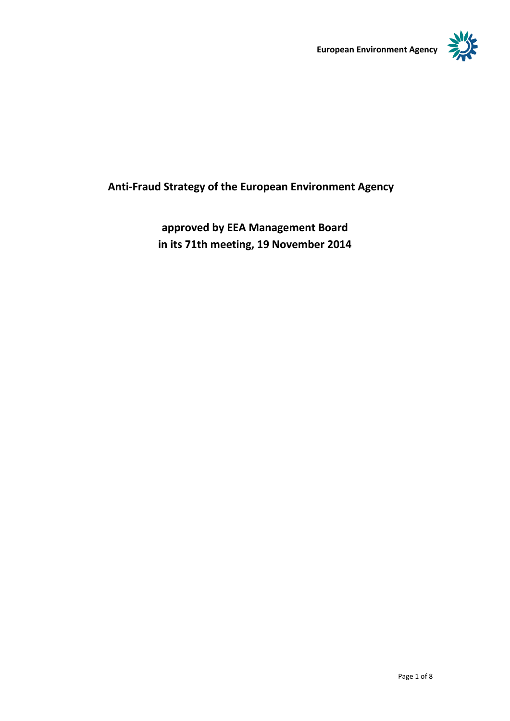



# **Anti-Fraud Strategy of the European Environment Agency**

**approved by EEA Management Board in its 71th meeting, 19 November 2014**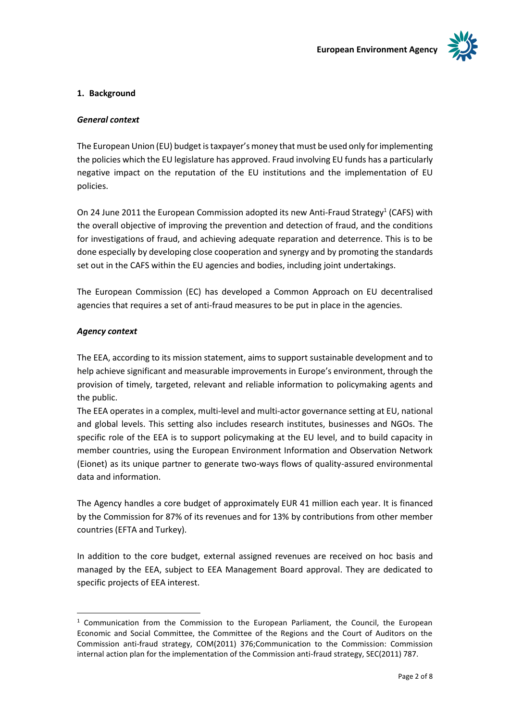

# **1. Background**

# *General context*

The European Union (EU) budget is taxpayer's money that must be used only for implementing the policies which the EU legislature has approved. Fraud involving EU funds has a particularly negative impact on the reputation of the EU institutions and the implementation of EU policies.

On 24 June 2011 the European Commission adopted its new Anti-Fraud Strategy<sup>1</sup> (CAFS) with the overall objective of improving the prevention and detection of fraud, and the conditions for investigations of fraud, and achieving adequate reparation and deterrence. This is to be done especially by developing close cooperation and synergy and by promoting the standards set out in the CAFS within the EU agencies and bodies, including joint undertakings.

The European Commission (EC) has developed a Common Approach on EU decentralised agencies that requires a set of anti-fraud measures to be put in place in the agencies.

# *Agency context*

Ē,

The EEA, according to its mission statement, aims to support sustainable development and to help achieve significant and measurable improvements in Europe's environment, through the provision of timely, targeted, relevant and reliable information to policymaking agents and the public.

The EEA operates in a complex, multi-level and multi-actor governance setting at EU, national and global levels. This setting also includes research institutes, businesses and NGOs. The specific role of the EEA is to support policymaking at the EU level, and to build capacity in member countries, using the European Environment Information and Observation Network (Eionet) as its unique partner to generate two-ways flows of quality-assured environmental data and information.

The Agency handles a core budget of approximately EUR 41 million each year. It is financed by the Commission for 87% of its revenues and for 13% by contributions from other member countries (EFTA and Turkey).

In addition to the core budget, external assigned revenues are received on hoc basis and managed by the EEA, subject to EEA Management Board approval. They are dedicated to specific projects of EEA interest.

 $1$  Communication from the Commission to the European Parliament, the Council, the European Economic and Social Committee, the Committee of the Regions and the Court of Auditors on the Commission anti-fraud strategy, COM(2011) 376;Communication to the Commission: Commission internal action plan for the implementation of the Commission anti-fraud strategy, SEC(2011) 787.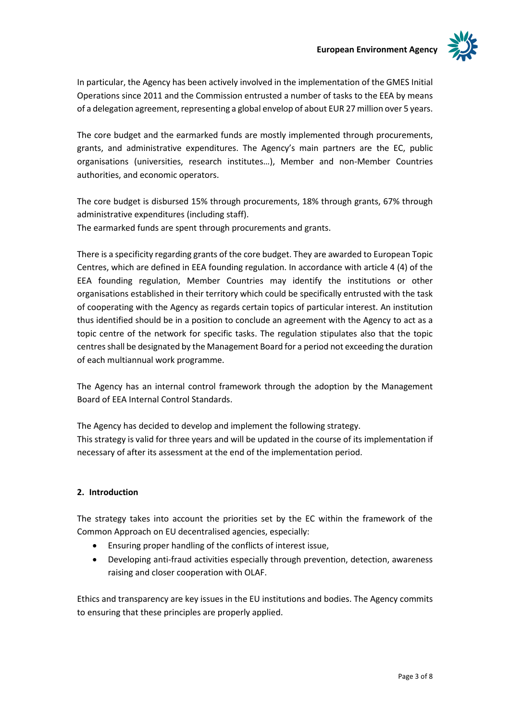

In particular, the Agency has been actively involved in the implementation of the GMES Initial Operations since 2011 and the Commission entrusted a number of tasks to the EEA by means of a delegation agreement, representing a global envelop of about EUR 27 million over 5 years.

The core budget and the earmarked funds are mostly implemented through procurements, grants, and administrative expenditures. The Agency's main partners are the EC, public organisations (universities, research institutes…), Member and non-Member Countries authorities, and economic operators.

The core budget is disbursed 15% through procurements, 18% through grants, 67% through administrative expenditures (including staff). The earmarked funds are spent through procurements and grants.

There is a specificity regarding grants of the core budget. They are awarded to European Topic Centres, which are defined in EEA founding regulation. In accordance with article 4 (4) of the EEA founding regulation, Member Countries may identify the institutions or other organisations established in their territory which could be specifically entrusted with the task of cooperating with the Agency as regards certain topics of particular interest. An institution thus identified should be in a position to conclude an agreement with the Agency to act as a topic centre of the network for specific tasks. The regulation stipulates also that the topic centres shall be designated by the Management Board for a period not exceeding the duration of each multiannual work programme.

The Agency has an internal control framework through the adoption by the Management Board of EEA Internal Control Standards.

The Agency has decided to develop and implement the following strategy. This strategy is valid for three years and will be updated in the course of its implementation if necessary of after its assessment at the end of the implementation period.

# **2. Introduction**

The strategy takes into account the priorities set by the EC within the framework of the Common Approach on EU decentralised agencies, especially:

- Ensuring proper handling of the conflicts of interest issue,
- Developing anti-fraud activities especially through prevention, detection, awareness raising and closer cooperation with OLAF.

Ethics and transparency are key issues in the EU institutions and bodies. The Agency commits to ensuring that these principles are properly applied.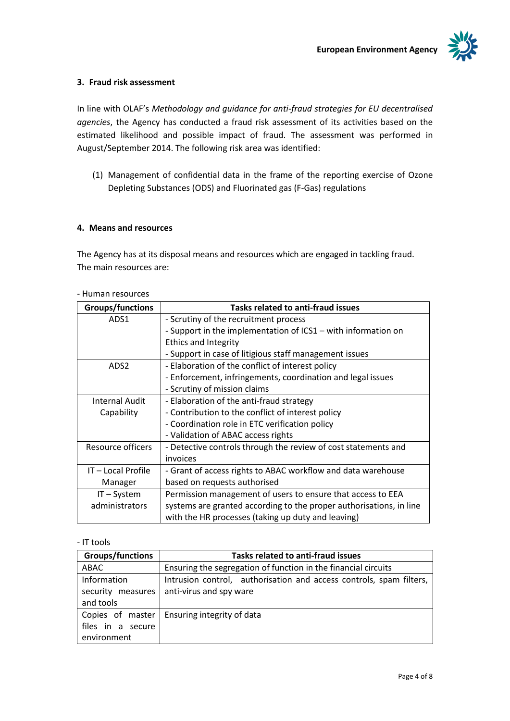

# **3. Fraud risk assessment**

In line with OLAF's *Methodology and guidance for anti-fraud strategies for EU decentralised agencies*, the Agency has conducted a fraud risk assessment of its activities based on the estimated likelihood and possible impact of fraud. The assessment was performed in August/September 2014. The following risk area was identified:

(1) Management of confidential data in the frame of the reporting exercise of Ozone Depleting Substances (ODS) and Fluorinated gas (F-Gas) regulations

## **4. Means and resources**

The Agency has at its disposal means and resources which are engaged in tackling fraud. The main resources are:

| <b>Groups/functions</b> | <b>Tasks related to anti-fraud issues</b>                           |
|-------------------------|---------------------------------------------------------------------|
| ADS <sub>1</sub>        | - Scrutiny of the recruitment process                               |
|                         | - Support in the implementation of ICS1 – with information on       |
|                         | <b>Ethics and Integrity</b>                                         |
|                         | - Support in case of litigious staff management issues              |
| ADS <sub>2</sub>        | - Elaboration of the conflict of interest policy                    |
|                         | - Enforcement, infringements, coordination and legal issues         |
|                         | - Scrutiny of mission claims                                        |
| <b>Internal Audit</b>   | - Elaboration of the anti-fraud strategy                            |
| Capability              | - Contribution to the conflict of interest policy                   |
|                         | - Coordination role in ETC verification policy                      |
|                         | - Validation of ABAC access rights                                  |
| Resource officers       | - Detective controls through the review of cost statements and      |
|                         | invoices                                                            |
| IT-Local Profile        | - Grant of access rights to ABAC workflow and data warehouse        |
| Manager                 | based on requests authorised                                        |
| $IT - System$           | Permission management of users to ensure that access to EEA         |
| administrators          | systems are granted according to the proper authorisations, in line |
|                         | with the HR processes (taking up duty and leaving)                  |

#### - Human resources

## - IT tools

| <b>Groups/functions</b> | <b>Tasks related to anti-fraud issues</b>                           |
|-------------------------|---------------------------------------------------------------------|
| ABAC                    | Ensuring the segregation of function in the financial circuits      |
| Information             | Intrusion control, authorisation and access controls, spam filters, |
| security measures       | anti-virus and spy ware                                             |
| and tools               |                                                                     |
| Copies of master        | Ensuring integrity of data                                          |
| files in a secure       |                                                                     |
| environment             |                                                                     |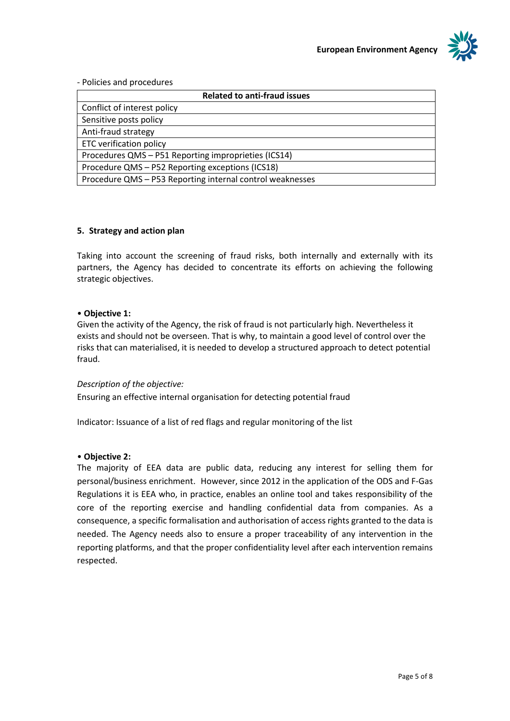

- Policies and procedures

| <b>Related to anti-fraud issues</b>                       |
|-----------------------------------------------------------|
| Conflict of interest policy                               |
| Sensitive posts policy                                    |
| Anti-fraud strategy                                       |
| <b>ETC verification policy</b>                            |
| Procedures QMS - P51 Reporting improprieties (ICS14)      |
| Procedure QMS - P52 Reporting exceptions (ICS18)          |
| Procedure QMS - P53 Reporting internal control weaknesses |

## **5. Strategy and action plan**

Taking into account the screening of fraud risks, both internally and externally with its partners, the Agency has decided to concentrate its efforts on achieving the following strategic objectives.

#### • **Objective 1:**

Given the activity of the Agency, the risk of fraud is not particularly high. Nevertheless it exists and should not be overseen. That is why, to maintain a good level of control over the risks that can materialised, it is needed to develop a structured approach to detect potential fraud.

#### *Description of the objective:*

Ensuring an effective internal organisation for detecting potential fraud

Indicator: Issuance of a list of red flags and regular monitoring of the list

#### • **Objective 2:**

The majority of EEA data are public data, reducing any interest for selling them for personal/business enrichment. However, since 2012 in the application of the ODS and F-Gas Regulations it is EEA who, in practice, enables an online tool and takes responsibility of the core of the reporting exercise and handling confidential data from companies. As a consequence, a specific formalisation and authorisation of access rights granted to the data is needed. The Agency needs also to ensure a proper traceability of any intervention in the reporting platforms, and that the proper confidentiality level after each intervention remains respected.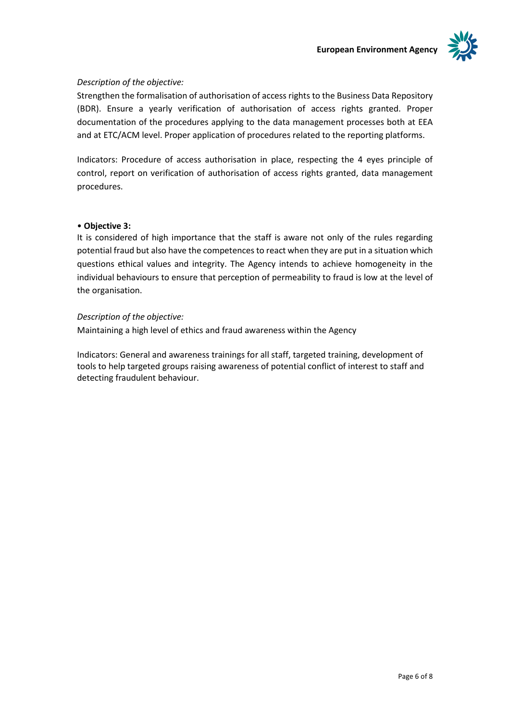

# *Description of the objective:*

Strengthen the formalisation of authorisation of access rights to the Business Data Repository (BDR). Ensure a yearly verification of authorisation of access rights granted. Proper documentation of the procedures applying to the data management processes both at EEA and at ETC/ACM level. Proper application of procedures related to the reporting platforms.

Indicators: Procedure of access authorisation in place, respecting the 4 eyes principle of control, report on verification of authorisation of access rights granted, data management procedures.

# • **Objective 3:**

It is considered of high importance that the staff is aware not only of the rules regarding potential fraud but also have the competences to react when they are put in a situation which questions ethical values and integrity. The Agency intends to achieve homogeneity in the individual behaviours to ensure that perception of permeability to fraud is low at the level of the organisation.

# *Description of the objective:*

Maintaining a high level of ethics and fraud awareness within the Agency

Indicators: General and awareness trainings for all staff, targeted training, development of tools to help targeted groups raising awareness of potential conflict of interest to staff and detecting fraudulent behaviour.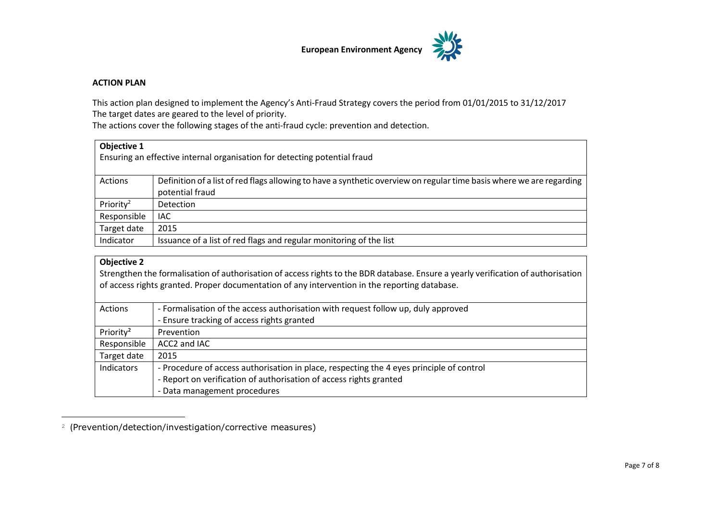

#### **ACTION PLAN**

This action plan designed to implement the Agency's Anti-Fraud Strategy covers the period from 01/01/2015 to 31/12/2017 The target dates are geared to the level of priority.

The actions cover the following stages of the anti-fraud cycle: prevention and detection.

| Objective 1<br>Ensuring an effective internal organisation for detecting potential fraud |                                                                                                                                         |
|------------------------------------------------------------------------------------------|-----------------------------------------------------------------------------------------------------------------------------------------|
| Actions                                                                                  | Definition of a list of red flags allowing to have a synthetic overview on regular time basis where we are regarding<br>potential fraud |
| Priority <sup>2</sup>                                                                    | <b>Detection</b>                                                                                                                        |
| Responsible                                                                              | IAC.                                                                                                                                    |
| Target date                                                                              | 2015                                                                                                                                    |
| Indicator                                                                                | Issuance of a list of red flags and regular monitoring of the list                                                                      |

# **Objective 2**

J.

Strengthen the formalisation of authorisation of access rights to the BDR database. Ensure a yearly verification of authorisation of access rights granted. Proper documentation of any intervention in the reporting database.

| Actions               | - Formalisation of the access authorisation with request follow up, duly approved        |
|-----------------------|------------------------------------------------------------------------------------------|
|                       | - Ensure tracking of access rights granted                                               |
| Priority <sup>2</sup> | Prevention                                                                               |
| Responsible           | ACC2 and IAC                                                                             |
| Target date           | 2015                                                                                     |
| Indicators            | - Procedure of access authorisation in place, respecting the 4 eyes principle of control |
|                       | - Report on verification of authorisation of access rights granted                       |
|                       | - Data management procedures                                                             |

<sup>2</sup> (Prevention/detection/investigation/corrective measures)